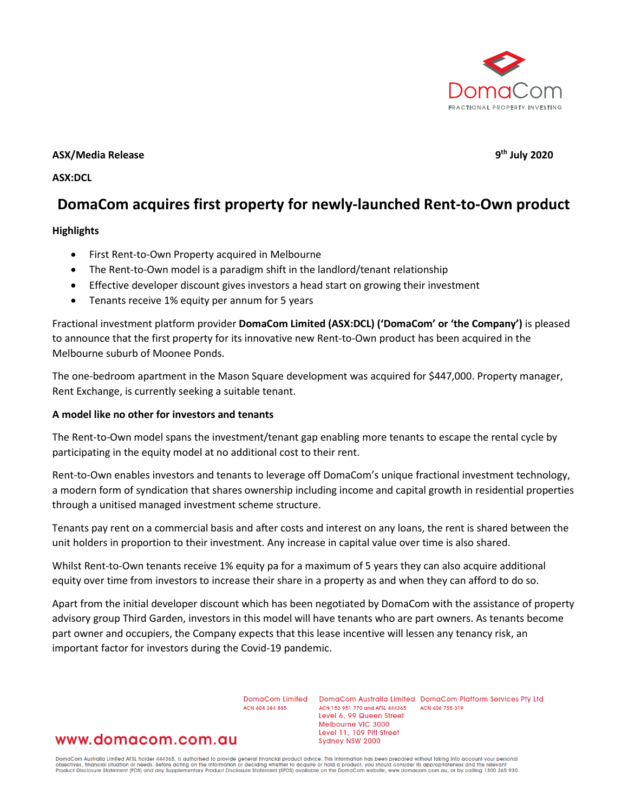

## **ASX/Media Release 9th July 2020**

**ASX:DCL**

# **DomaCom acquires first property for newly-launched Rent-to-Own product**

#### **Highlights**

- First Rent-to-Own Property acquired in Melbourne
- The Rent-to-Own model is a paradigm shift in the landlord/tenant relationship
- Effective developer discount gives investors a head start on growing their investment
- Tenants receive 1% equity per annum for 5 years

Fractional investment platform provider **DomaCom Limited (ASX:DCL) ('DomaCom' or 'the Company')** is pleased to announce that the first property for its innovative new Rent-to-Own product has been acquired in the Melbourne suburb of Moonee Ponds.

The one-bedroom apartment in the Mason Square development was acquired for \$447,000. Property manager, Rent Exchange, is currently seeking a suitable tenant.

#### **A model like no other for investors and tenants**

The Rent-to-Own model spans the investment/tenant gap enabling more tenants to escape the rental cycle by participating in the equity model at no additional cost to their rent.

Rent-to-Own enables investors and tenants to leverage off DomaCom's unique fractional investment technology, a modern form of syndication that shares ownership including income and capital growth in residential properties through a unitised managed investment scheme structure.

Tenants pay rent on a commercial basis and after costs and interest on any loans, the rent is shared between the unit holders in proportion to their investment. Any increase in capital value over time is also shared.

Whilst Rent-to-Own tenants receive 1% equity pa for a maximum of 5 years they can also acquire additional equity over time from investors to increase their share in a property as and when they can afford to do so.

Apart from the initial developer discount which has been negotiated by DomaCom with the assistance of property advisory group Third Garden, investors in this model will have tenants who are part owners. As tenants become part owner and occupiers, the Company expects that this lease incentive will lessen any tenancy risk, an important factor for investors during the Covid-19 pandemic.

ACN 604 384 885

DomaCom Limited DomaCom Australia Limited DomaCom Platform Services Pty Ltd ACN 153 951 770 and AFSL 444365 ACN 606 755 319 Level 6, 99 Queen Street Melbourne VIC 3000 Level 11, 109 Pitt Street Sydney NSW 2000

# www.domacom.com.au

DomaCom Australia Limited AFSL holder 444365, is authorised to provide general financial product advice. This information has been prepared without taking into account your personal<br>objectives, financial situation or needs